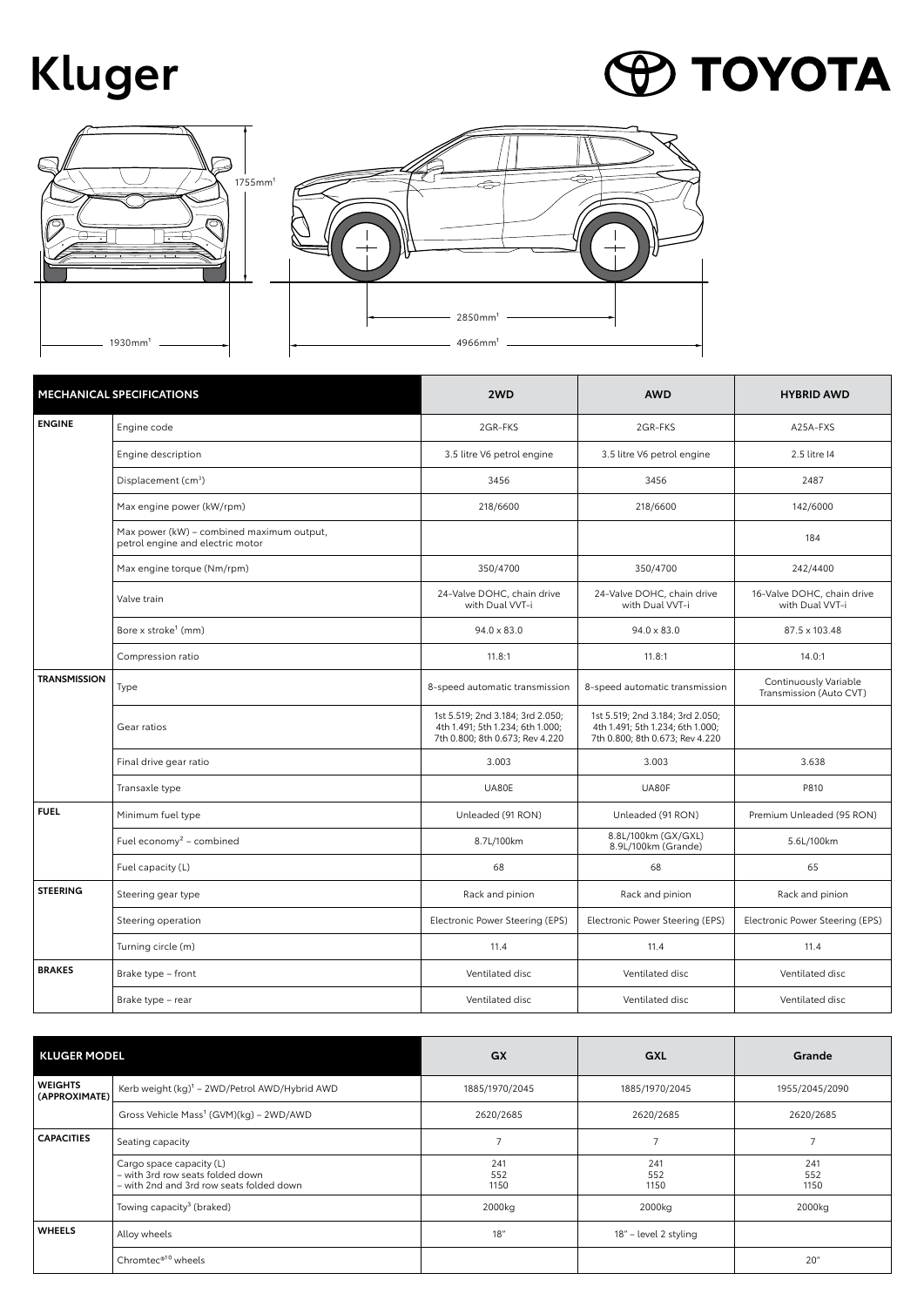## **Kluger**

## **P TOYOTA**



| <b>MECHANICAL SPECIFICATIONS</b> |                                                                               | 2WD                                                                                                     | <b>AWD</b>                                                                                              | <b>HYBRID AWD</b>                                |
|----------------------------------|-------------------------------------------------------------------------------|---------------------------------------------------------------------------------------------------------|---------------------------------------------------------------------------------------------------------|--------------------------------------------------|
| <b>ENGINE</b>                    | Engine code                                                                   | 2GR-FKS                                                                                                 | 2GR-FKS                                                                                                 | A25A-FXS                                         |
|                                  | Engine description                                                            | 3.5 litre V6 petrol engine                                                                              | 3.5 litre V6 petrol engine                                                                              | 2.5 litre 14                                     |
|                                  | Displacement (cm <sup>3</sup> )                                               | 3456                                                                                                    | 3456                                                                                                    | 2487                                             |
|                                  | Max engine power (kW/rpm)                                                     | 218/6600                                                                                                | 218/6600                                                                                                | 142/6000                                         |
|                                  | Max power (kW) - combined maximum output,<br>petrol engine and electric motor |                                                                                                         |                                                                                                         | 184                                              |
|                                  | Max engine torque (Nm/rpm)                                                    | 350/4700                                                                                                | 350/4700                                                                                                | 242/4400                                         |
|                                  | Valve train                                                                   | 24-Valve DOHC, chain drive<br>with Dual VVT-i                                                           | 24-Valve DOHC, chain drive<br>with Dual VVT-i                                                           | 16-Valve DOHC, chain drive<br>with Dual VVT-i    |
|                                  | Bore x stroke <sup>1</sup> (mm)                                               | 94.0 x 83.0                                                                                             | $94.0 \times 83.0$                                                                                      | 87.5 x 103.48                                    |
|                                  | Compression ratio                                                             | 11.8:1                                                                                                  | 11.8:1                                                                                                  | 14.0:1                                           |
| <b>TRANSMISSION</b>              | Type                                                                          | 8-speed automatic transmission                                                                          | 8-speed automatic transmission                                                                          | Continuously Variable<br>Transmission (Auto CVT) |
|                                  | Gear ratios                                                                   | 1st 5.519; 2nd 3.184; 3rd 2.050;<br>4th 1.491; 5th 1.234; 6th 1.000;<br>7th 0.800; 8th 0.673; Rev 4.220 | 1st 5.519; 2nd 3.184; 3rd 2.050;<br>4th 1.491; 5th 1.234; 6th 1.000;<br>7th 0.800; 8th 0.673; Rev 4.220 |                                                  |
|                                  | Final drive gear ratio                                                        | 3.003                                                                                                   | 3.003                                                                                                   | 3.638                                            |
|                                  | Transaxle type                                                                | UA80E                                                                                                   | UA80F                                                                                                   | P810                                             |
| <b>FUEL</b>                      | Minimum fuel type                                                             | Unleaded (91 RON)                                                                                       | Unleaded (91 RON)                                                                                       | Premium Unleaded (95 RON)                        |
|                                  | Fuel economy <sup>2</sup> - combined                                          | 8.7L/100km                                                                                              | 8.8L/100km (GX/GXL)<br>8.9L/100km (Grande)                                                              | 5.6L/100km                                       |
|                                  | Fuel capacity (L)                                                             | 68                                                                                                      | 68                                                                                                      | 65                                               |
| <b>STEERING</b>                  | Steering gear type                                                            | Rack and pinion                                                                                         | Rack and pinion                                                                                         | Rack and pinion                                  |
|                                  | Steering operation                                                            | Electronic Power Steering (EPS)                                                                         | Electronic Power Steering (EPS)                                                                         | Electronic Power Steering (EPS)                  |
|                                  | Turning circle (m)                                                            | 11.4                                                                                                    | 11.4                                                                                                    | 11.4                                             |
| <b>BRAKES</b>                    | Brake type - front                                                            | Ventilated disc                                                                                         | Ventilated disc                                                                                         | Ventilated disc                                  |
|                                  | Brake type - rear                                                             | Ventilated disc                                                                                         | Ventilated disc                                                                                         | Ventilated disc                                  |

| <b>KLUGER MODEL</b>             |                                                                                                          | GX                 | GXL                   | Grande             |
|---------------------------------|----------------------------------------------------------------------------------------------------------|--------------------|-----------------------|--------------------|
| <b>WEIGHTS</b><br>(APPROXIMATE) | Kerb weight $(kq)^1$ – 2WD/Petrol AWD/Hybrid AWD                                                         | 1885/1970/2045     | 1885/1970/2045        | 1955/2045/2090     |
|                                 | Gross Vehicle Mass <sup>1</sup> (GVM)(kg) - 2WD/AWD                                                      | 2620/2685          | 2620/2685             | 2620/2685          |
| <b>CAPACITIES</b>               | Seating capacity                                                                                         |                    |                       | $\overline{ }$     |
|                                 | Cargo space capacity (L)<br>- with 3rd row seats folded down<br>- with 2nd and 3rd row seats folded down | 241<br>552<br>1150 | 241<br>552<br>1150    | 241<br>552<br>1150 |
|                                 | Towing capacity <sup>3</sup> (braked)                                                                    | 2000kg             | 2000kg                | 2000kg             |
| <b>WHEELS</b>                   | Alloy wheels                                                                                             | 18''               | 18" - level 2 styling |                    |
|                                 | Chromtec® <sup>10</sup> wheels                                                                           |                    |                       | 20"                |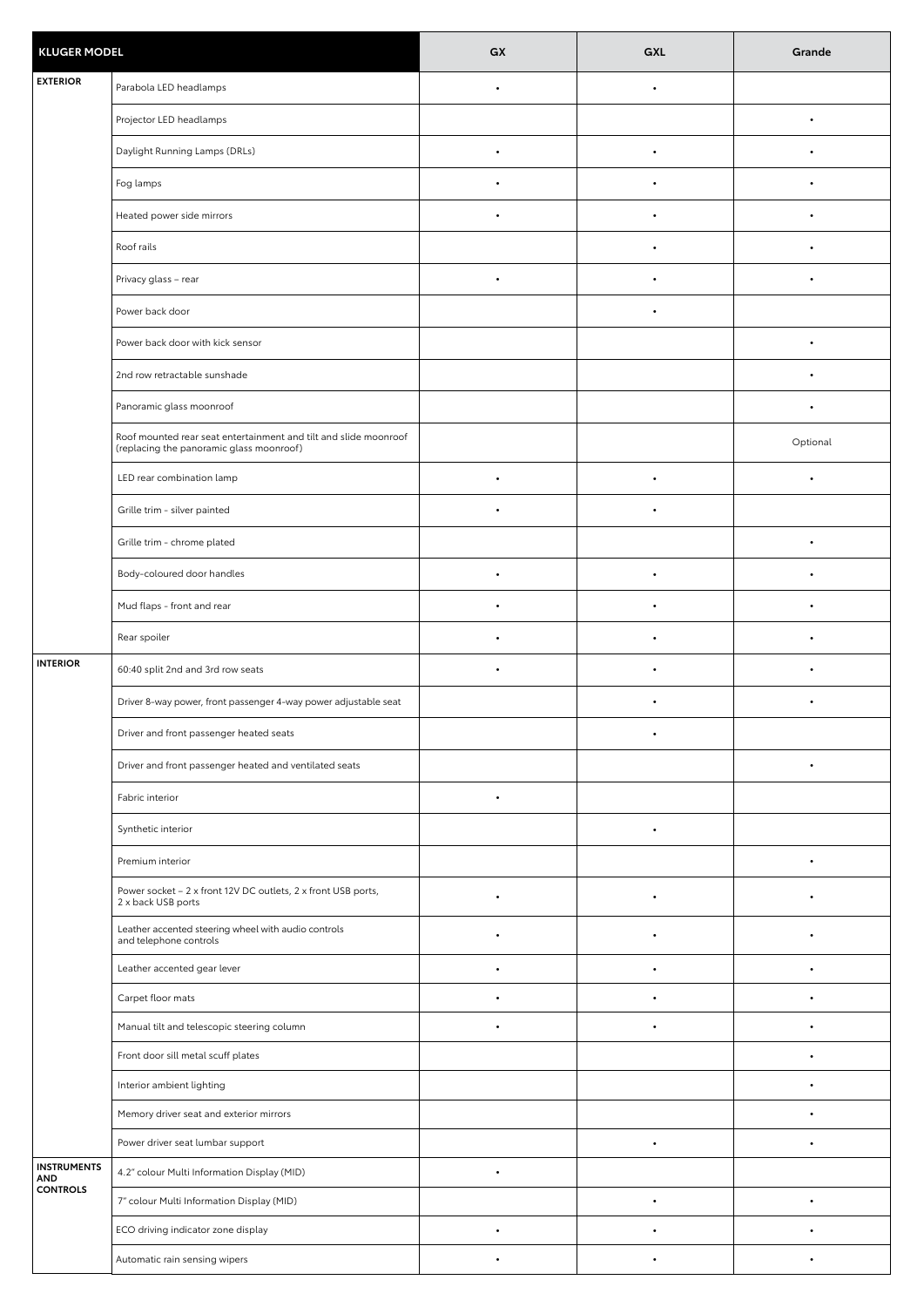| <b>KLUGER MODEL</b>                                 |                                                                                                              | GX        | GXL       | Grande    |
|-----------------------------------------------------|--------------------------------------------------------------------------------------------------------------|-----------|-----------|-----------|
| <b>EXTERIOR</b>                                     | Parabola LED headlamps                                                                                       | $\bullet$ | $\bullet$ |           |
|                                                     | Projector LED headlamps                                                                                      |           |           | ٠         |
|                                                     | Daylight Running Lamps (DRLs)                                                                                | $\bullet$ | $\bullet$ |           |
|                                                     | Fog lamps                                                                                                    |           | $\bullet$ |           |
|                                                     | Heated power side mirrors                                                                                    | $\bullet$ | $\bullet$ |           |
|                                                     | Roof rails                                                                                                   |           | $\bullet$ |           |
|                                                     | Privacy glass - rear                                                                                         | $\bullet$ | $\bullet$ | $\bullet$ |
|                                                     | Power back door                                                                                              |           | $\bullet$ |           |
|                                                     | Power back door with kick sensor                                                                             |           |           | $\bullet$ |
|                                                     | 2nd row retractable sunshade                                                                                 |           |           |           |
|                                                     | Panoramic glass moonroof                                                                                     |           |           |           |
|                                                     | Roof mounted rear seat entertainment and tilt and slide moonroof<br>(replacing the panoramic glass moonroof) |           |           | Optional  |
|                                                     | LED rear combination lamp                                                                                    | $\bullet$ | ٠         |           |
|                                                     | Grille trim - silver painted                                                                                 |           |           |           |
|                                                     | Grille trim - chrome plated                                                                                  |           |           | $\bullet$ |
|                                                     | Body-coloured door handles                                                                                   | ٠         | ٠         |           |
|                                                     | Mud flaps - front and rear                                                                                   | $\bullet$ |           |           |
|                                                     | Rear spoiler                                                                                                 | $\bullet$ | $\bullet$ |           |
| <b>INTERIOR</b>                                     | 60:40 split 2nd and 3rd row seats                                                                            | $\bullet$ | $\bullet$ | $\bullet$ |
|                                                     | Driver 8-way power, front passenger 4-way power adjustable seat                                              |           | ٠         | $\bullet$ |
|                                                     | Driver and front passenger heated seats                                                                      |           |           |           |
|                                                     | Driver and front passenger heated and ventilated seats                                                       |           |           |           |
|                                                     | Fabric interior                                                                                              | $\bullet$ |           |           |
|                                                     | Synthetic interior                                                                                           |           | $\bullet$ |           |
|                                                     | Premium interior                                                                                             |           |           |           |
|                                                     | Power socket - 2 x front 12V DC outlets, 2 x front USB ports,<br>2 x back USB ports                          |           |           |           |
|                                                     | Leather accented steering wheel with audio controls<br>and telephone controls                                | ٠         |           |           |
|                                                     | Leather accented gear lever                                                                                  | $\bullet$ | $\bullet$ |           |
|                                                     | Carpet floor mats                                                                                            | ٠         | $\bullet$ | $\bullet$ |
|                                                     | Manual tilt and telescopic steering column                                                                   | $\bullet$ | $\bullet$ |           |
|                                                     | Front door sill metal scuff plates                                                                           |           |           | $\bullet$ |
|                                                     | Interior ambient lighting                                                                                    |           |           |           |
|                                                     | Memory driver seat and exterior mirrors                                                                      |           |           |           |
|                                                     | Power driver seat lumbar support                                                                             |           |           |           |
| <b>INSTRUMENTS</b><br><b>AND</b><br><b>CONTROLS</b> | 4.2" colour Multi Information Display (MID)                                                                  | ٠         |           |           |
|                                                     | 7" colour Multi Information Display (MID)                                                                    |           |           | $\bullet$ |
|                                                     | ECO driving indicator zone display                                                                           | $\bullet$ | ٠         | $\bullet$ |
|                                                     | Automatic rain sensing wipers                                                                                |           |           |           |